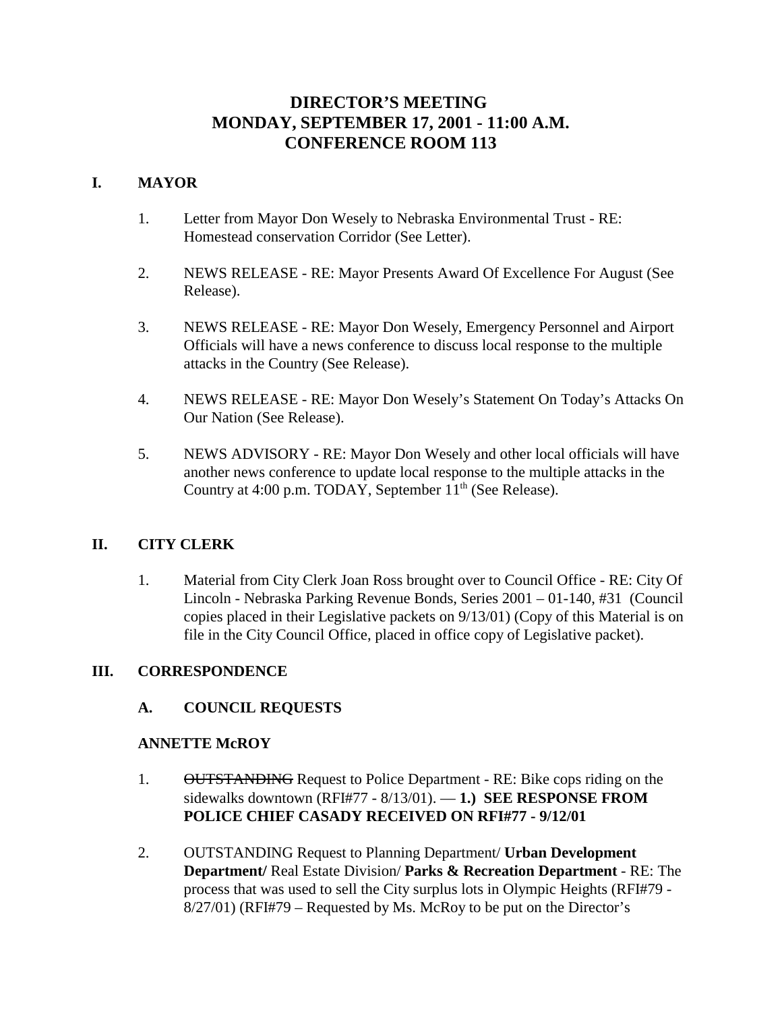# **DIRECTOR'S MEETING MONDAY, SEPTEMBER 17, 2001 - 11:00 A.M. CONFERENCE ROOM 113**

# **I. MAYOR**

- 1. Letter from Mayor Don Wesely to Nebraska Environmental Trust RE: Homestead conservation Corridor (See Letter).
- 2. NEWS RELEASE RE: Mayor Presents Award Of Excellence For August (See Release).
- 3. NEWS RELEASE RE: Mayor Don Wesely, Emergency Personnel and Airport Officials will have a news conference to discuss local response to the multiple attacks in the Country (See Release).
- 4. NEWS RELEASE RE: Mayor Don Wesely's Statement On Today's Attacks On Our Nation (See Release).
- 5. NEWS ADVISORY RE: Mayor Don Wesely and other local officials will have another news conference to update local response to the multiple attacks in the Country at 4:00 p.m. TODAY, September  $11<sup>th</sup>$  (See Release).

# **II. CITY CLERK**

1. Material from City Clerk Joan Ross brought over to Council Office - RE: City Of Lincoln - Nebraska Parking Revenue Bonds, Series 2001 – 01-140, #31 (Council copies placed in their Legislative packets on 9/13/01) (Copy of this Material is on file in the City Council Office, placed in office copy of Legislative packet).

# **III. CORRESPONDENCE**

# **A. COUNCIL REQUESTS**

#### **ANNETTE McROY**

- 1. OUTSTANDING Request to Police Department RE: Bike cops riding on the sidewalks downtown (RFI#77 - 8/13/01). — **1.) SEE RESPONSE FROM POLICE CHIEF CASADY RECEIVED ON RFI#77 - 9/12/01**
- 2. OUTSTANDING Request to Planning Department/ **Urban Development Department/** Real Estate Division/ **Parks & Recreation Department** - RE: The process that was used to sell the City surplus lots in Olympic Heights (RFI#79 - 8/27/01) (RFI#79 – Requested by Ms. McRoy to be put on the Director's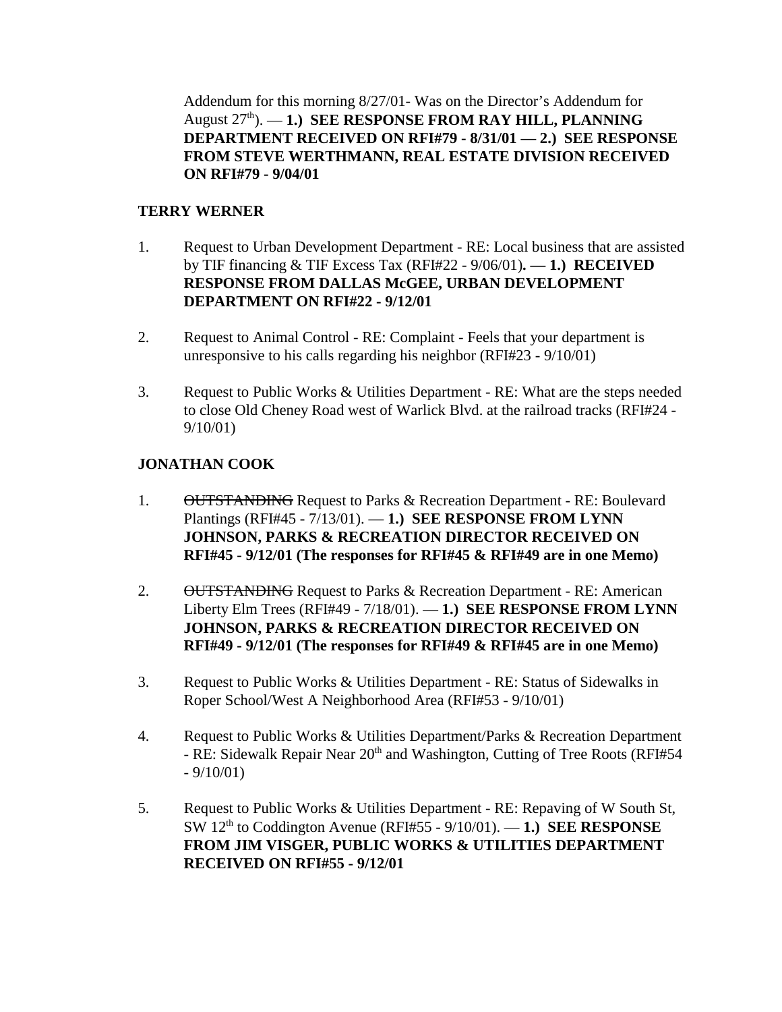Addendum for this morning 8/27/01- Was on the Director's Addendum for August 27<sup>th</sup>). — **1.) SEE RESPONSE FROM RAY HILL, PLANNING DEPARTMENT RECEIVED ON RFI#79 - 8/31/01 — 2.) SEE RESPONSE FROM STEVE WERTHMANN, REAL ESTATE DIVISION RECEIVED ON RFI#79 - 9/04/01**

# **TERRY WERNER**

- 1. Request to Urban Development Department RE: Local business that are assisted by TIF financing & TIF Excess Tax (RFI#22 - 9/06/01)**. — 1.) RECEIVED RESPONSE FROM DALLAS McGEE, URBAN DEVELOPMENT DEPARTMENT ON RFI#22 - 9/12/01**
- 2. Request to Animal Control RE: Complaint Feels that your department is unresponsive to his calls regarding his neighbor (RFI#23 - 9/10/01)
- 3. Request to Public Works & Utilities Department RE: What are the steps needed to close Old Cheney Road west of Warlick Blvd. at the railroad tracks (RFI#24 - 9/10/01)

# **JONATHAN COOK**

- 1. OUTSTANDING Request to Parks & Recreation Department RE: Boulevard Plantings (RFI#45 - 7/13/01). — **1.) SEE RESPONSE FROM LYNN JOHNSON, PARKS & RECREATION DIRECTOR RECEIVED ON RFI#45 - 9/12/01 (The responses for RFI#45 & RFI#49 are in one Memo)**
- 2. OUTSTANDING Request to Parks & Recreation Department RE: American Liberty Elm Trees (RFI#49 - 7/18/01). — **1.) SEE RESPONSE FROM LYNN JOHNSON, PARKS & RECREATION DIRECTOR RECEIVED ON RFI#49 - 9/12/01 (The responses for RFI#49 & RFI#45 are in one Memo)**
- 3. Request to Public Works & Utilities Department RE: Status of Sidewalks in Roper School/West A Neighborhood Area (RFI#53 - 9/10/01)
- 4. Request to Public Works & Utilities Department/Parks & Recreation Department - RE: Sidewalk Repair Near 20<sup>th</sup> and Washington, Cutting of Tree Roots (RFI#54)  $-9/10/01$
- 5. Request to Public Works & Utilities Department RE: Repaving of W South St, SW 12th to Coddington Avenue (RFI#55 - 9/10/01). — **1.) SEE RESPONSE FROM JIM VISGER, PUBLIC WORKS & UTILITIES DEPARTMENT RECEIVED ON RFI#55 - 9/12/01**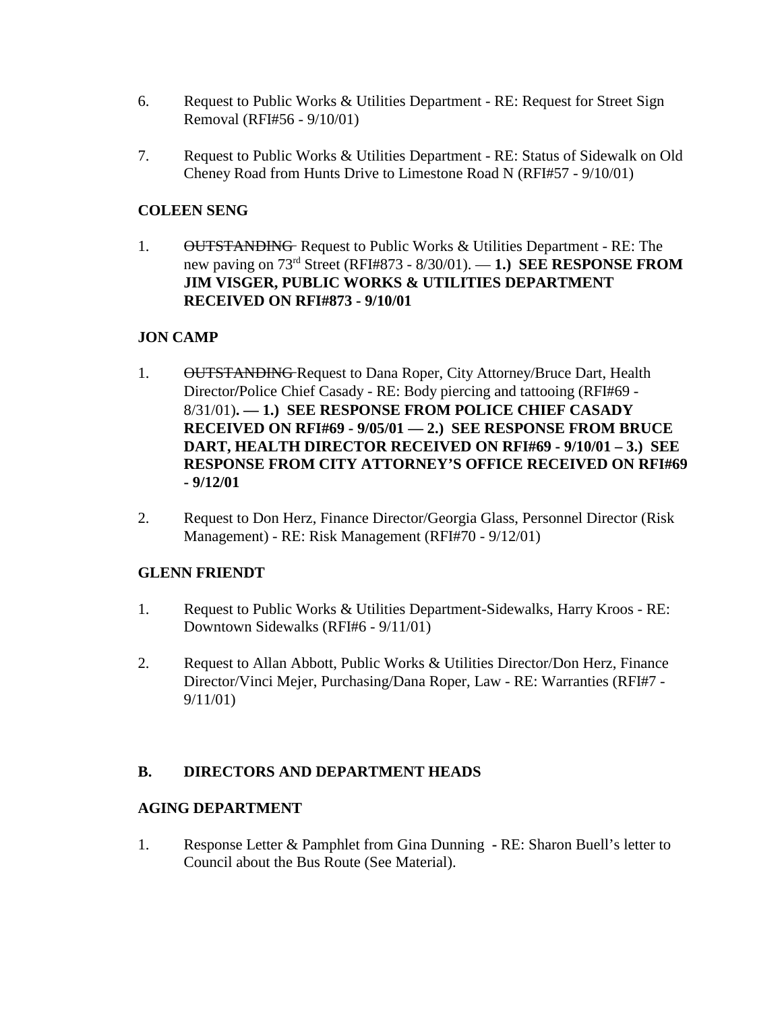- 6. Request to Public Works & Utilities Department RE: Request for Street Sign Removal (RFI#56 - 9/10/01)
- 7. Request to Public Works & Utilities Department RE: Status of Sidewalk on Old Cheney Road from Hunts Drive to Limestone Road N (RFI#57 - 9/10/01)

# **COLEEN SENG**

1. OUTSTANDING Request to Public Works & Utilities Department - RE: The new paving on 73rd Street (RFI#873 - 8/30/01). — **1.) SEE RESPONSE FROM JIM VISGER, PUBLIC WORKS & UTILITIES DEPARTMENT RECEIVED ON RFI#873 - 9/10/01**

# **JON CAMP**

- 1. OUTSTANDING Request to Dana Roper, City Attorney/Bruce Dart, Health Director**/**Police Chief Casady - RE: Body piercing and tattooing (RFI#69 - 8/31/01)**. — 1.) SEE RESPONSE FROM POLICE CHIEF CASADY RECEIVED ON RFI#69 - 9/05/01 — 2.) SEE RESPONSE FROM BRUCE DART, HEALTH DIRECTOR RECEIVED ON RFI#69 - 9/10/01 – 3.) SEE RESPONSE FROM CITY ATTORNEY'S OFFICE RECEIVED ON RFI#69 - 9/12/01**
- 2. Request to Don Herz, Finance Director/Georgia Glass, Personnel Director (Risk Management) - RE: Risk Management (RFI#70 - 9/12/01)

# **GLENN FRIENDT**

- 1. Request to Public Works & Utilities Department-Sidewalks, Harry Kroos RE: Downtown Sidewalks (RFI#6 - 9/11/01)
- 2. Request to Allan Abbott, Public Works & Utilities Director/Don Herz, Finance Director/Vinci Mejer, Purchasing/Dana Roper, Law - RE: Warranties (RFI#7 - 9/11/01)

# **B. DIRECTORS AND DEPARTMENT HEADS**

# **AGING DEPARTMENT**

1. Response Letter & Pamphlet from Gina Dunning **-** RE: Sharon Buell's letter to Council about the Bus Route (See Material).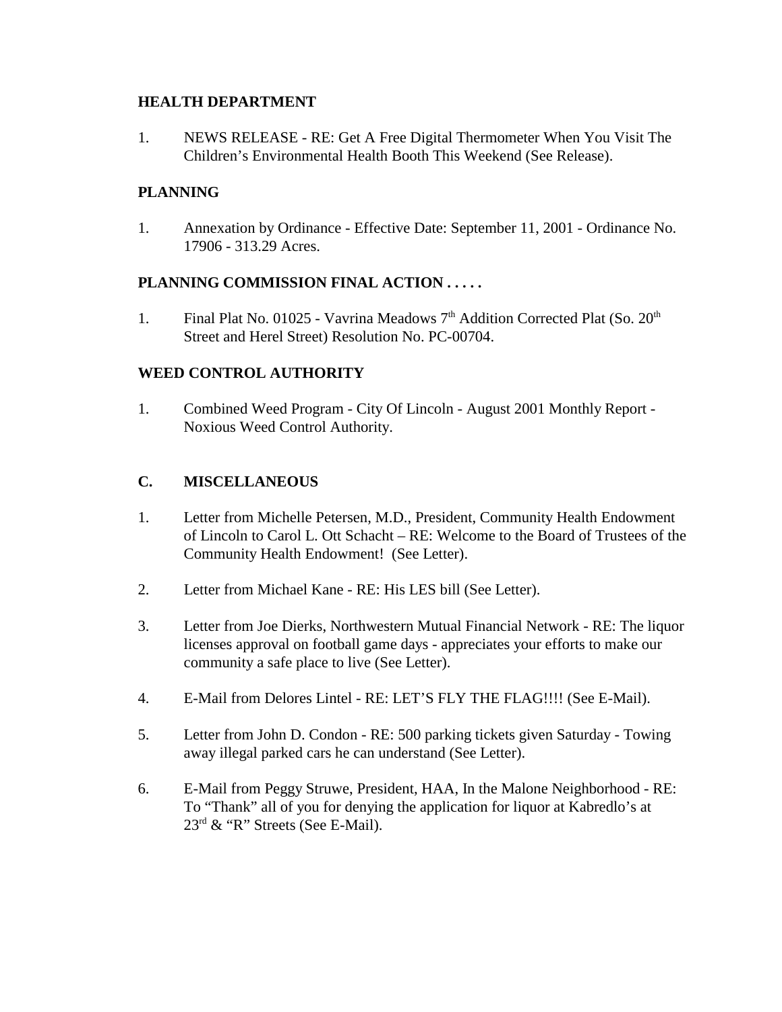### **HEALTH DEPARTMENT**

1. NEWS RELEASE - RE: Get A Free Digital Thermometer When You Visit The Children's Environmental Health Booth This Weekend (See Release).

# **PLANNING**

1. Annexation by Ordinance - Effective Date: September 11, 2001 - Ordinance No. 17906 - 313.29 Acres.

# **PLANNING COMMISSION FINAL ACTION . . . . .**

1. Final Plat No. 01025 - Vavrina Meadows  $7<sup>th</sup>$  Addition Corrected Plat (So.  $20<sup>th</sup>$ Street and Herel Street) Resolution No. PC-00704.

# **WEED CONTROL AUTHORITY**

1. Combined Weed Program - City Of Lincoln - August 2001 Monthly Report - Noxious Weed Control Authority.

# **C. MISCELLANEOUS**

- 1. Letter from Michelle Petersen, M.D., President, Community Health Endowment of Lincoln to Carol L. Ott Schacht – RE: Welcome to the Board of Trustees of the Community Health Endowment! (See Letter).
- 2. Letter from Michael Kane RE: His LES bill (See Letter).
- 3. Letter from Joe Dierks, Northwestern Mutual Financial Network RE: The liquor licenses approval on football game days - appreciates your efforts to make our community a safe place to live (See Letter).
- 4. E-Mail from Delores Lintel RE: LET'S FLY THE FLAG!!!! (See E-Mail).
- 5. Letter from John D. Condon RE: 500 parking tickets given Saturday Towing away illegal parked cars he can understand (See Letter).
- 6. E-Mail from Peggy Struwe, President, HAA, In the Malone Neighborhood RE: To "Thank" all of you for denying the application for liquor at Kabredlo's at 23rd & "R" Streets (See E-Mail).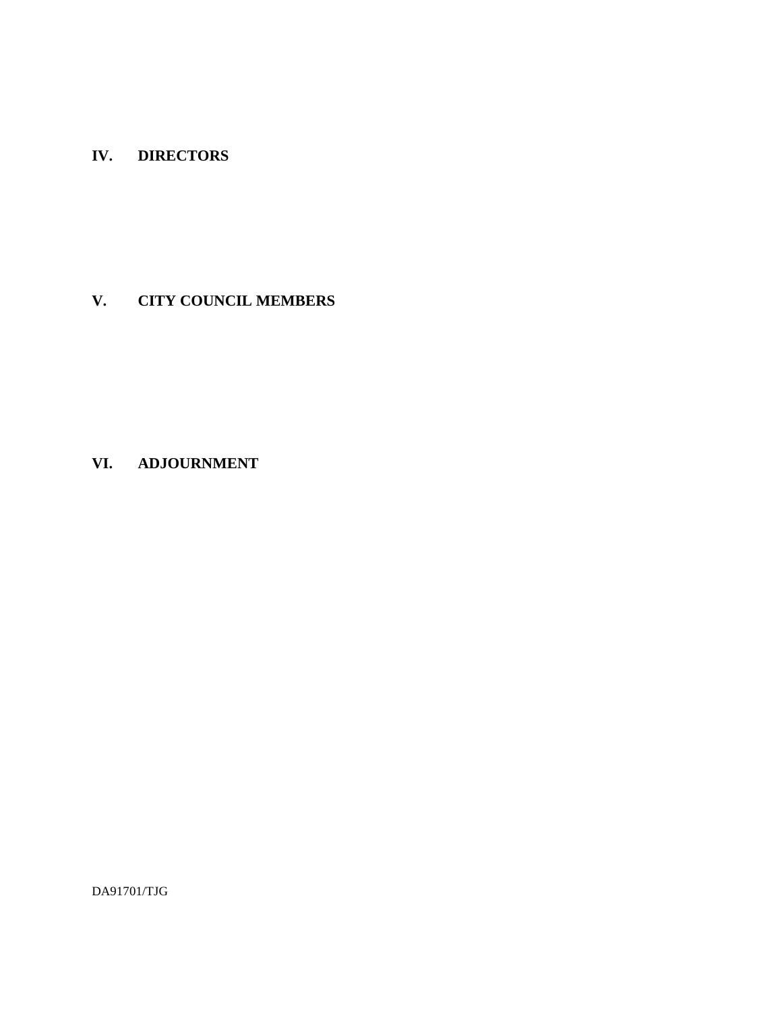# **IV. DIRECTORS**

# **V. CITY COUNCIL MEMBERS**

# **VI. ADJOURNMENT**

DA91701/TJG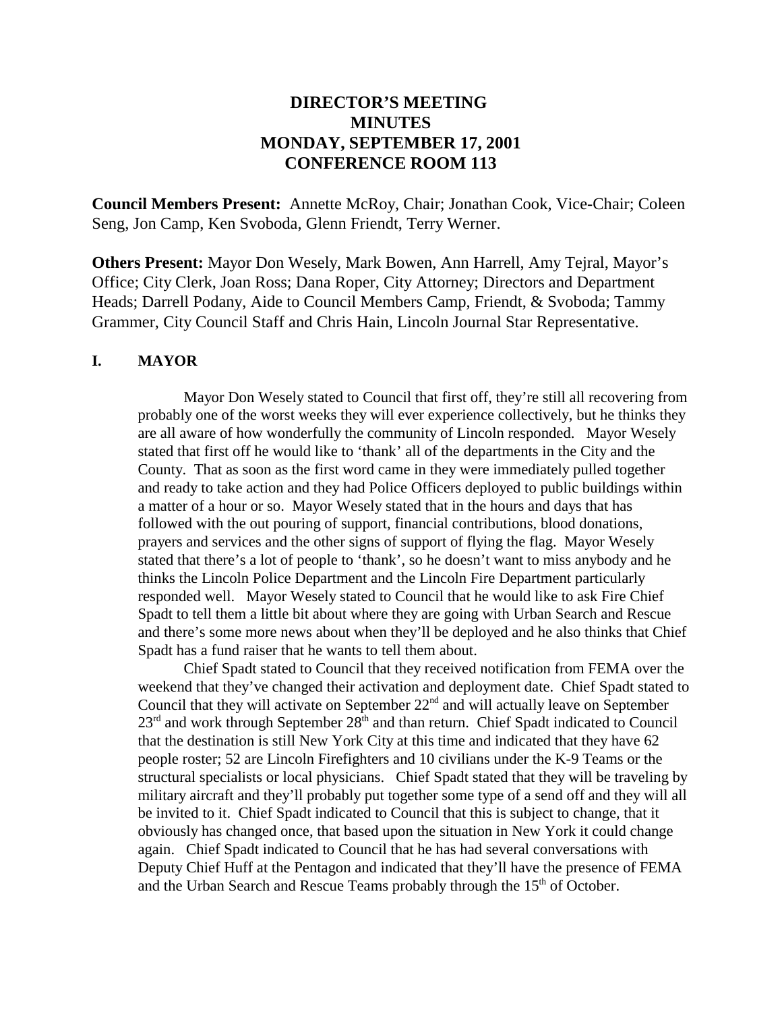# **DIRECTOR'S MEETING MINUTES MONDAY, SEPTEMBER 17, 2001 CONFERENCE ROOM 113**

**Council Members Present:** Annette McRoy, Chair; Jonathan Cook, Vice-Chair; Coleen Seng, Jon Camp, Ken Svoboda, Glenn Friendt, Terry Werner.

**Others Present:** Mayor Don Wesely, Mark Bowen, Ann Harrell, Amy Tejral, Mayor's Office; City Clerk, Joan Ross; Dana Roper, City Attorney; Directors and Department Heads; Darrell Podany, Aide to Council Members Camp, Friendt, & Svoboda; Tammy Grammer, City Council Staff and Chris Hain, Lincoln Journal Star Representative.

#### **I. MAYOR**

Mayor Don Wesely stated to Council that first off, they're still all recovering from probably one of the worst weeks they will ever experience collectively, but he thinks they are all aware of how wonderfully the community of Lincoln responded. Mayor Wesely stated that first off he would like to 'thank' all of the departments in the City and the County. That as soon as the first word came in they were immediately pulled together and ready to take action and they had Police Officers deployed to public buildings within a matter of a hour or so. Mayor Wesely stated that in the hours and days that has followed with the out pouring of support, financial contributions, blood donations, prayers and services and the other signs of support of flying the flag. Mayor Wesely stated that there's a lot of people to 'thank', so he doesn't want to miss anybody and he thinks the Lincoln Police Department and the Lincoln Fire Department particularly responded well. Mayor Wesely stated to Council that he would like to ask Fire Chief Spadt to tell them a little bit about where they are going with Urban Search and Rescue and there's some more news about when they'll be deployed and he also thinks that Chief Spadt has a fund raiser that he wants to tell them about.

Chief Spadt stated to Council that they received notification from FEMA over the weekend that they've changed their activation and deployment date. Chief Spadt stated to Council that they will activate on September  $22<sup>nd</sup>$  and will actually leave on September  $23<sup>rd</sup>$  and work through September  $28<sup>th</sup>$  and than return. Chief Spadt indicated to Council that the destination is still New York City at this time and indicated that they have 62 people roster; 52 are Lincoln Firefighters and 10 civilians under the K-9 Teams or the structural specialists or local physicians. Chief Spadt stated that they will be traveling by military aircraft and they'll probably put together some type of a send off and they will all be invited to it. Chief Spadt indicated to Council that this is subject to change, that it obviously has changed once, that based upon the situation in New York it could change again. Chief Spadt indicated to Council that he has had several conversations with Deputy Chief Huff at the Pentagon and indicated that they'll have the presence of FEMA and the Urban Search and Rescue Teams probably through the  $15<sup>th</sup>$  of October.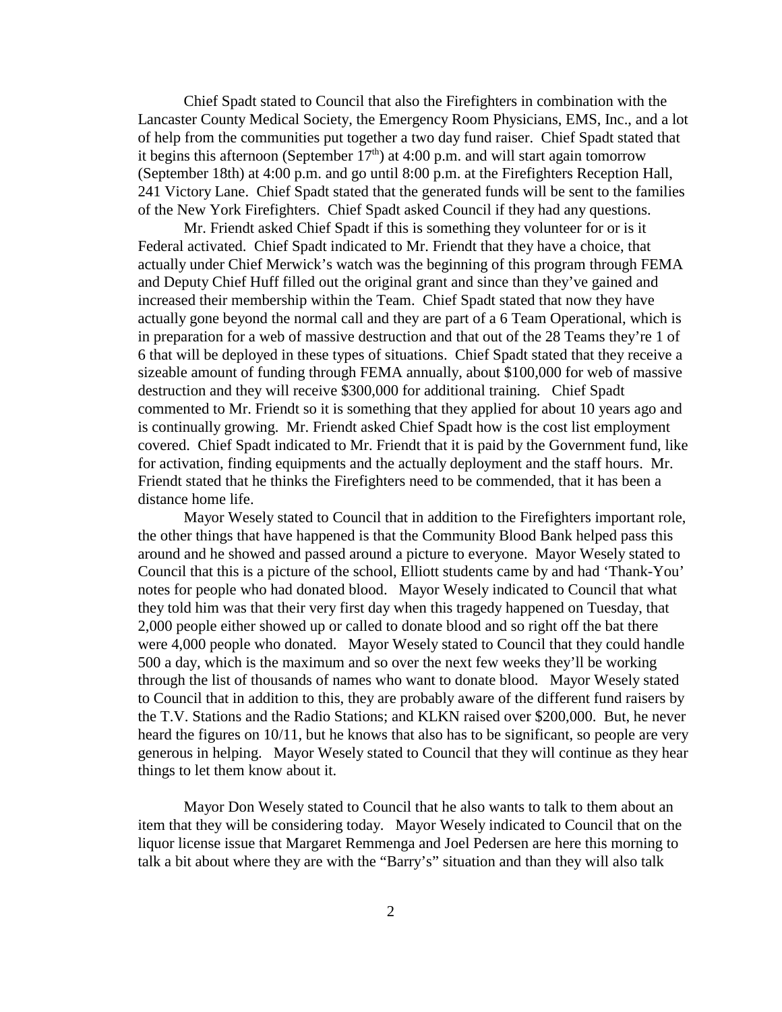Chief Spadt stated to Council that also the Firefighters in combination with the Lancaster County Medical Society, the Emergency Room Physicians, EMS, Inc., and a lot of help from the communities put together a two day fund raiser. Chief Spadt stated that it begins this afternoon (September  $17<sup>th</sup>$ ) at 4:00 p.m. and will start again tomorrow (September 18th) at 4:00 p.m. and go until 8:00 p.m. at the Firefighters Reception Hall, 241 Victory Lane. Chief Spadt stated that the generated funds will be sent to the families of the New York Firefighters. Chief Spadt asked Council if they had any questions.

Mr. Friendt asked Chief Spadt if this is something they volunteer for or is it Federal activated. Chief Spadt indicated to Mr. Friendt that they have a choice, that actually under Chief Merwick's watch was the beginning of this program through FEMA and Deputy Chief Huff filled out the original grant and since than they've gained and increased their membership within the Team. Chief Spadt stated that now they have actually gone beyond the normal call and they are part of a 6 Team Operational, which is in preparation for a web of massive destruction and that out of the 28 Teams they're 1 of 6 that will be deployed in these types of situations. Chief Spadt stated that they receive a sizeable amount of funding through FEMA annually, about \$100,000 for web of massive destruction and they will receive \$300,000 for additional training. Chief Spadt commented to Mr. Friendt so it is something that they applied for about 10 years ago and is continually growing. Mr. Friendt asked Chief Spadt how is the cost list employment covered. Chief Spadt indicated to Mr. Friendt that it is paid by the Government fund, like for activation, finding equipments and the actually deployment and the staff hours. Mr. Friendt stated that he thinks the Firefighters need to be commended, that it has been a distance home life.

Mayor Wesely stated to Council that in addition to the Firefighters important role, the other things that have happened is that the Community Blood Bank helped pass this around and he showed and passed around a picture to everyone. Mayor Wesely stated to Council that this is a picture of the school, Elliott students came by and had 'Thank-You' notes for people who had donated blood. Mayor Wesely indicated to Council that what they told him was that their very first day when this tragedy happened on Tuesday, that 2,000 people either showed up or called to donate blood and so right off the bat there were 4,000 people who donated. Mayor Wesely stated to Council that they could handle 500 a day, which is the maximum and so over the next few weeks they'll be working through the list of thousands of names who want to donate blood. Mayor Wesely stated to Council that in addition to this, they are probably aware of the different fund raisers by the T.V. Stations and the Radio Stations; and KLKN raised over \$200,000. But, he never heard the figures on 10/11, but he knows that also has to be significant, so people are very generous in helping. Mayor Wesely stated to Council that they will continue as they hear things to let them know about it.

Mayor Don Wesely stated to Council that he also wants to talk to them about an item that they will be considering today. Mayor Wesely indicated to Council that on the liquor license issue that Margaret Remmenga and Joel Pedersen are here this morning to talk a bit about where they are with the "Barry's" situation and than they will also talk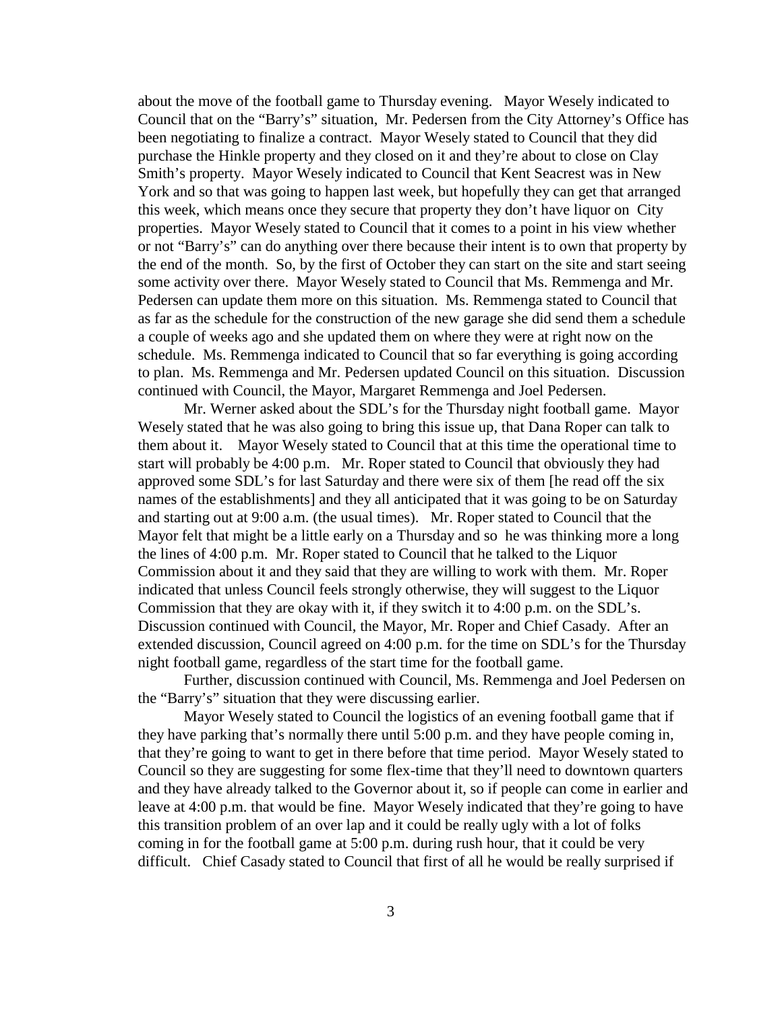about the move of the football game to Thursday evening. Mayor Wesely indicated to Council that on the "Barry's" situation, Mr. Pedersen from the City Attorney's Office has been negotiating to finalize a contract. Mayor Wesely stated to Council that they did purchase the Hinkle property and they closed on it and they're about to close on Clay Smith's property. Mayor Wesely indicated to Council that Kent Seacrest was in New York and so that was going to happen last week, but hopefully they can get that arranged this week, which means once they secure that property they don't have liquor on City properties. Mayor Wesely stated to Council that it comes to a point in his view whether or not "Barry's" can do anything over there because their intent is to own that property by the end of the month. So, by the first of October they can start on the site and start seeing some activity over there. Mayor Wesely stated to Council that Ms. Remmenga and Mr. Pedersen can update them more on this situation. Ms. Remmenga stated to Council that as far as the schedule for the construction of the new garage she did send them a schedule a couple of weeks ago and she updated them on where they were at right now on the schedule. Ms. Remmenga indicated to Council that so far everything is going according to plan. Ms. Remmenga and Mr. Pedersen updated Council on this situation. Discussion continued with Council, the Mayor, Margaret Remmenga and Joel Pedersen.

Mr. Werner asked about the SDL's for the Thursday night football game. Mayor Wesely stated that he was also going to bring this issue up, that Dana Roper can talk to them about it. Mayor Wesely stated to Council that at this time the operational time to start will probably be 4:00 p.m. Mr. Roper stated to Council that obviously they had approved some SDL's for last Saturday and there were six of them [he read off the six names of the establishments] and they all anticipated that it was going to be on Saturday and starting out at 9:00 a.m. (the usual times). Mr. Roper stated to Council that the Mayor felt that might be a little early on a Thursday and so he was thinking more a long the lines of 4:00 p.m. Mr. Roper stated to Council that he talked to the Liquor Commission about it and they said that they are willing to work with them. Mr. Roper indicated that unless Council feels strongly otherwise, they will suggest to the Liquor Commission that they are okay with it, if they switch it to 4:00 p.m. on the SDL's. Discussion continued with Council, the Mayor, Mr. Roper and Chief Casady. After an extended discussion, Council agreed on 4:00 p.m. for the time on SDL's for the Thursday night football game, regardless of the start time for the football game.

Further, discussion continued with Council, Ms. Remmenga and Joel Pedersen on the "Barry's" situation that they were discussing earlier.

Mayor Wesely stated to Council the logistics of an evening football game that if they have parking that's normally there until 5:00 p.m. and they have people coming in, that they're going to want to get in there before that time period. Mayor Wesely stated to Council so they are suggesting for some flex-time that they'll need to downtown quarters and they have already talked to the Governor about it, so if people can come in earlier and leave at 4:00 p.m. that would be fine. Mayor Wesely indicated that they're going to have this transition problem of an over lap and it could be really ugly with a lot of folks coming in for the football game at 5:00 p.m. during rush hour, that it could be very difficult. Chief Casady stated to Council that first of all he would be really surprised if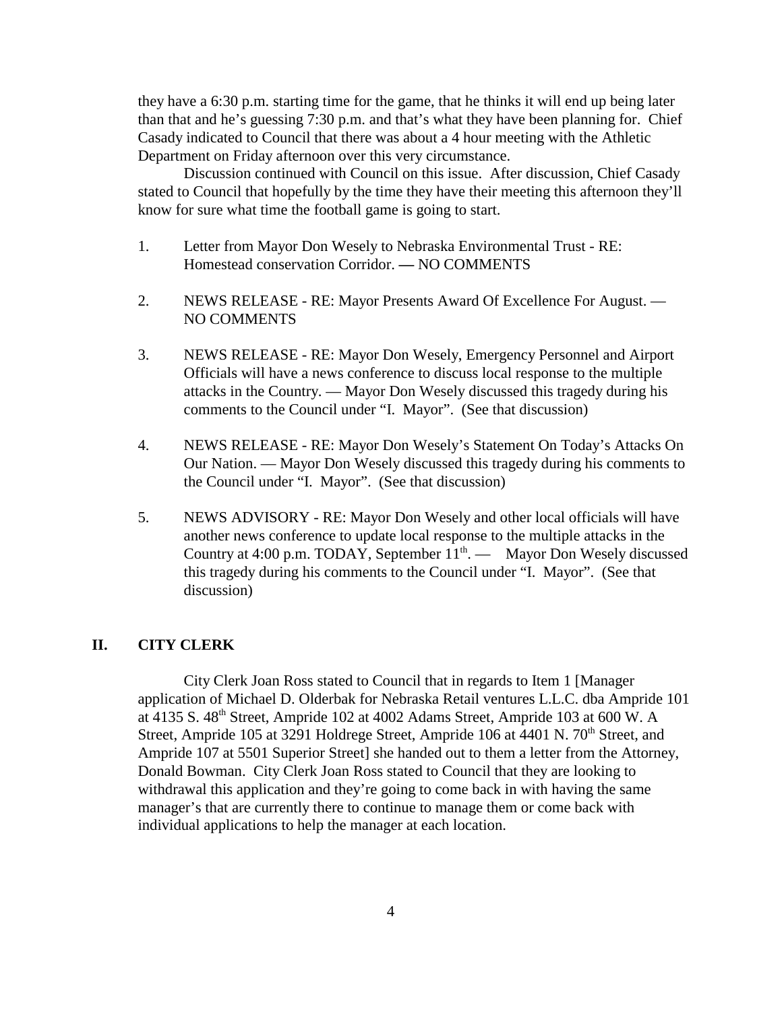they have a 6:30 p.m. starting time for the game, that he thinks it will end up being later than that and he's guessing 7:30 p.m. and that's what they have been planning for. Chief Casady indicated to Council that there was about a 4 hour meeting with the Athletic Department on Friday afternoon over this very circumstance.

Discussion continued with Council on this issue. After discussion, Chief Casady stated to Council that hopefully by the time they have their meeting this afternoon they'll know for sure what time the football game is going to start.

- 1. Letter from Mayor Don Wesely to Nebraska Environmental Trust RE: Homestead conservation Corridor. **—** NO COMMENTS
- 2. NEWS RELEASE RE: Mayor Presents Award Of Excellence For August. NO COMMENTS
- 3. NEWS RELEASE RE: Mayor Don Wesely, Emergency Personnel and Airport Officials will have a news conference to discuss local response to the multiple attacks in the Country. — Mayor Don Wesely discussed this tragedy during his comments to the Council under "I. Mayor". (See that discussion)
- 4. NEWS RELEASE RE: Mayor Don Wesely's Statement On Today's Attacks On Our Nation. — Mayor Don Wesely discussed this tragedy during his comments to the Council under "I. Mayor". (See that discussion)
- 5. NEWS ADVISORY RE: Mayor Don Wesely and other local officials will have another news conference to update local response to the multiple attacks in the Country at 4:00 p.m. TODAY, September  $11<sup>th</sup>$ . — Mayor Don Wesely discussed this tragedy during his comments to the Council under "I. Mayor". (See that discussion)

#### **II. CITY CLERK**

City Clerk Joan Ross stated to Council that in regards to Item 1 [Manager application of Michael D. Olderbak for Nebraska Retail ventures L.L.C. dba Ampride 101 at 4135 S. 48<sup>th</sup> Street, Ampride 102 at 4002 Adams Street, Ampride 103 at 600 W. A Street, Ampride 105 at 3291 Holdrege Street, Ampride 106 at 4401 N. 70<sup>th</sup> Street, and Ampride 107 at 5501 Superior Street] she handed out to them a letter from the Attorney, Donald Bowman. City Clerk Joan Ross stated to Council that they are looking to withdrawal this application and they're going to come back in with having the same manager's that are currently there to continue to manage them or come back with individual applications to help the manager at each location.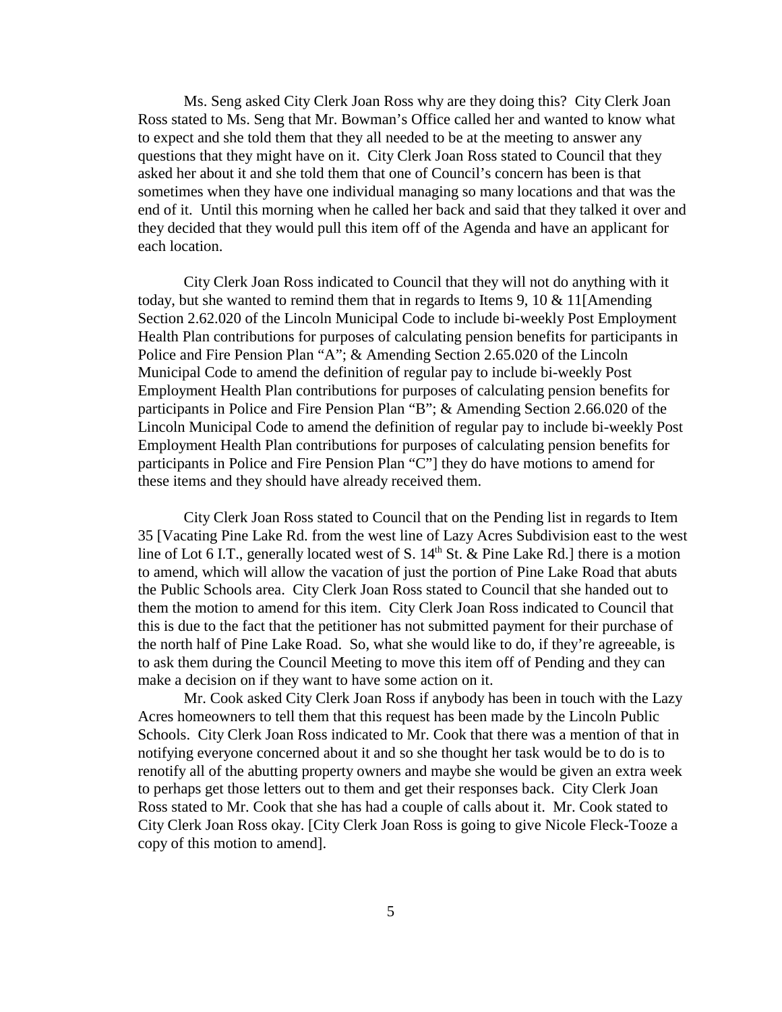Ms. Seng asked City Clerk Joan Ross why are they doing this? City Clerk Joan Ross stated to Ms. Seng that Mr. Bowman's Office called her and wanted to know what to expect and she told them that they all needed to be at the meeting to answer any questions that they might have on it. City Clerk Joan Ross stated to Council that they asked her about it and she told them that one of Council's concern has been is that sometimes when they have one individual managing so many locations and that was the end of it. Until this morning when he called her back and said that they talked it over and they decided that they would pull this item off of the Agenda and have an applicant for each location.

City Clerk Joan Ross indicated to Council that they will not do anything with it today, but she wanted to remind them that in regards to Items 9, 10  $&$  11[Amending] Section 2.62.020 of the Lincoln Municipal Code to include bi-weekly Post Employment Health Plan contributions for purposes of calculating pension benefits for participants in Police and Fire Pension Plan "A"; & Amending Section 2.65.020 of the Lincoln Municipal Code to amend the definition of regular pay to include bi-weekly Post Employment Health Plan contributions for purposes of calculating pension benefits for participants in Police and Fire Pension Plan "B"; & Amending Section 2.66.020 of the Lincoln Municipal Code to amend the definition of regular pay to include bi-weekly Post Employment Health Plan contributions for purposes of calculating pension benefits for participants in Police and Fire Pension Plan "C"] they do have motions to amend for these items and they should have already received them.

City Clerk Joan Ross stated to Council that on the Pending list in regards to Item 35 [Vacating Pine Lake Rd. from the west line of Lazy Acres Subdivision east to the west line of Lot 6 I.T., generally located west of S.  $14<sup>th</sup>$  St. & Pine Lake Rd.] there is a motion to amend, which will allow the vacation of just the portion of Pine Lake Road that abuts the Public Schools area. City Clerk Joan Ross stated to Council that she handed out to them the motion to amend for this item. City Clerk Joan Ross indicated to Council that this is due to the fact that the petitioner has not submitted payment for their purchase of the north half of Pine Lake Road. So, what she would like to do, if they're agreeable, is to ask them during the Council Meeting to move this item off of Pending and they can make a decision on if they want to have some action on it.

Mr. Cook asked City Clerk Joan Ross if anybody has been in touch with the Lazy Acres homeowners to tell them that this request has been made by the Lincoln Public Schools. City Clerk Joan Ross indicated to Mr. Cook that there was a mention of that in notifying everyone concerned about it and so she thought her task would be to do is to renotify all of the abutting property owners and maybe she would be given an extra week to perhaps get those letters out to them and get their responses back. City Clerk Joan Ross stated to Mr. Cook that she has had a couple of calls about it. Mr. Cook stated to City Clerk Joan Ross okay. [City Clerk Joan Ross is going to give Nicole Fleck-Tooze a copy of this motion to amend].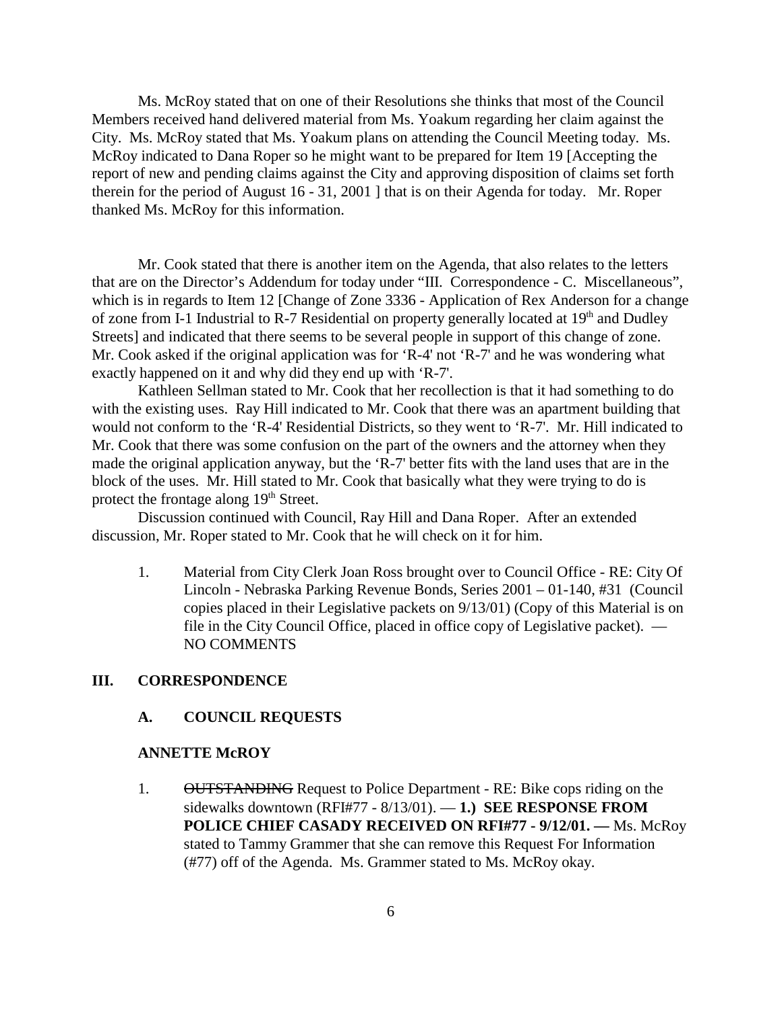Ms. McRoy stated that on one of their Resolutions she thinks that most of the Council Members received hand delivered material from Ms. Yoakum regarding her claim against the City. Ms. McRoy stated that Ms. Yoakum plans on attending the Council Meeting today. Ms. McRoy indicated to Dana Roper so he might want to be prepared for Item 19 [Accepting the report of new and pending claims against the City and approving disposition of claims set forth therein for the period of August 16 - 31, 2001 ] that is on their Agenda for today. Mr. Roper thanked Ms. McRoy for this information.

Mr. Cook stated that there is another item on the Agenda, that also relates to the letters that are on the Director's Addendum for today under "III. Correspondence - C. Miscellaneous", which is in regards to Item 12 [Change of Zone 3336 - Application of Rex Anderson for a change of zone from I-1 Industrial to R-7 Residential on property generally located at 19<sup>th</sup> and Dudley Streets] and indicated that there seems to be several people in support of this change of zone. Mr. Cook asked if the original application was for 'R-4' not 'R-7' and he was wondering what exactly happened on it and why did they end up with 'R-7'.

Kathleen Sellman stated to Mr. Cook that her recollection is that it had something to do with the existing uses. Ray Hill indicated to Mr. Cook that there was an apartment building that would not conform to the 'R-4' Residential Districts, so they went to 'R-7'. Mr. Hill indicated to Mr. Cook that there was some confusion on the part of the owners and the attorney when they made the original application anyway, but the 'R-7' better fits with the land uses that are in the block of the uses. Mr. Hill stated to Mr. Cook that basically what they were trying to do is protect the frontage along 19<sup>th</sup> Street.

Discussion continued with Council, Ray Hill and Dana Roper. After an extended discussion, Mr. Roper stated to Mr. Cook that he will check on it for him.

1. Material from City Clerk Joan Ross brought over to Council Office - RE: City Of Lincoln - Nebraska Parking Revenue Bonds, Series 2001 – 01-140, #31 (Council copies placed in their Legislative packets on 9/13/01) (Copy of this Material is on file in the City Council Office, placed in office copy of Legislative packet). — NO COMMENTS

#### **III. CORRESPONDENCE**

#### **A. COUNCIL REQUESTS**

#### **ANNETTE McROY**

1. OUTSTANDING Request to Police Department - RE: Bike cops riding on the sidewalks downtown (RFI#77 - 8/13/01). — **1.) SEE RESPONSE FROM POLICE CHIEF CASADY RECEIVED ON RFI#77 - 9/12/01. —** Ms. McRoy stated to Tammy Grammer that she can remove this Request For Information (#77) off of the Agenda. Ms. Grammer stated to Ms. McRoy okay.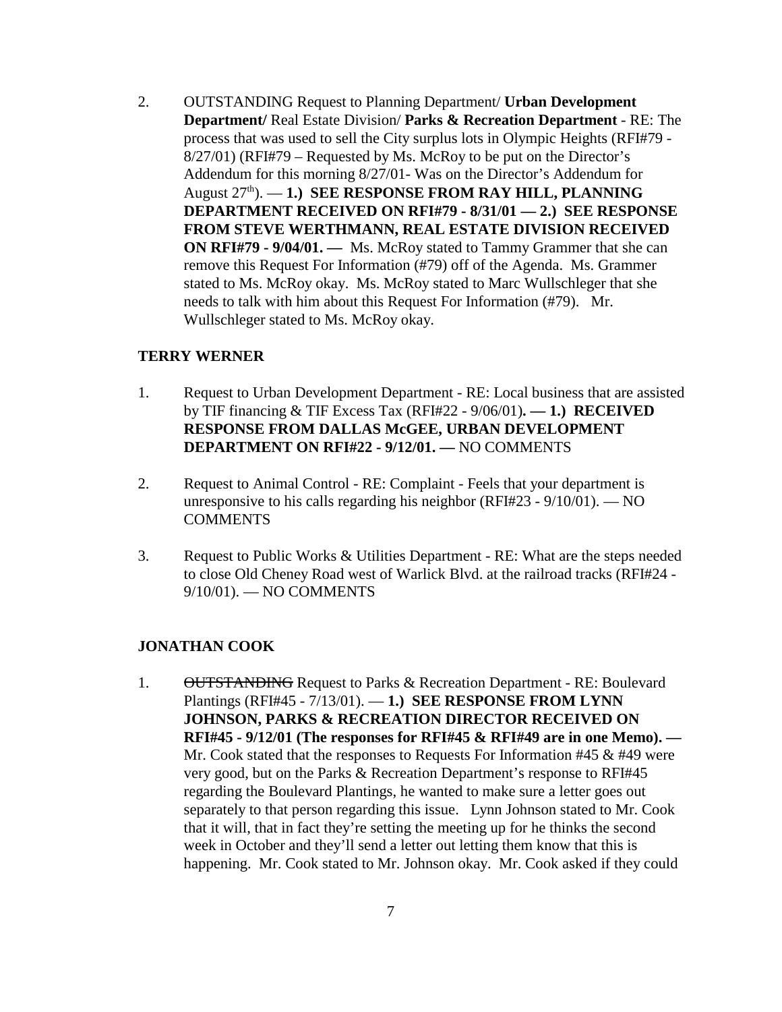2. OUTSTANDING Request to Planning Department/ **Urban Development Department/** Real Estate Division/ **Parks & Recreation Department** - RE: The process that was used to sell the City surplus lots in Olympic Heights (RFI#79 - 8/27/01) (RFI#79 – Requested by Ms. McRoy to be put on the Director's Addendum for this morning 8/27/01- Was on the Director's Addendum for August 27<sup>th</sup>). — **1.) SEE RESPONSE FROM RAY HILL, PLANNING DEPARTMENT RECEIVED ON RFI#79 - 8/31/01 — 2.) SEE RESPONSE FROM STEVE WERTHMANN, REAL ESTATE DIVISION RECEIVED ON RFI#79 - 9/04/01. —** Ms. McRoy stated to Tammy Grammer that she can remove this Request For Information (#79) off of the Agenda. Ms. Grammer stated to Ms. McRoy okay. Ms. McRoy stated to Marc Wullschleger that she needs to talk with him about this Request For Information (#79). Mr. Wullschleger stated to Ms. McRoy okay.

#### **TERRY WERNER**

- 1. Request to Urban Development Department RE: Local business that are assisted by TIF financing & TIF Excess Tax (RFI#22 - 9/06/01)**. — 1.) RECEIVED RESPONSE FROM DALLAS McGEE, URBAN DEVELOPMENT DEPARTMENT ON RFI#22 - 9/12/01. —** NO COMMENTS
- 2. Request to Animal Control RE: Complaint Feels that your department is unresponsive to his calls regarding his neighbor (RFI#23 - 9/10/01). — NO **COMMENTS**
- 3. Request to Public Works & Utilities Department RE: What are the steps needed to close Old Cheney Road west of Warlick Blvd. at the railroad tracks (RFI#24 - 9/10/01). — NO COMMENTS

#### **JONATHAN COOK**

1. OUTSTANDING Request to Parks & Recreation Department - RE: Boulevard Plantings (RFI#45 - 7/13/01). — **1.) SEE RESPONSE FROM LYNN JOHNSON, PARKS & RECREATION DIRECTOR RECEIVED ON RFI#45 - 9/12/01 (The responses for RFI#45 & RFI#49 are in one Memo). —**  Mr. Cook stated that the responses to Requests For Information #45 & #49 were very good, but on the Parks & Recreation Department's response to RFI#45 regarding the Boulevard Plantings, he wanted to make sure a letter goes out separately to that person regarding this issue. Lynn Johnson stated to Mr. Cook that it will, that in fact they're setting the meeting up for he thinks the second week in October and they'll send a letter out letting them know that this is happening. Mr. Cook stated to Mr. Johnson okay. Mr. Cook asked if they could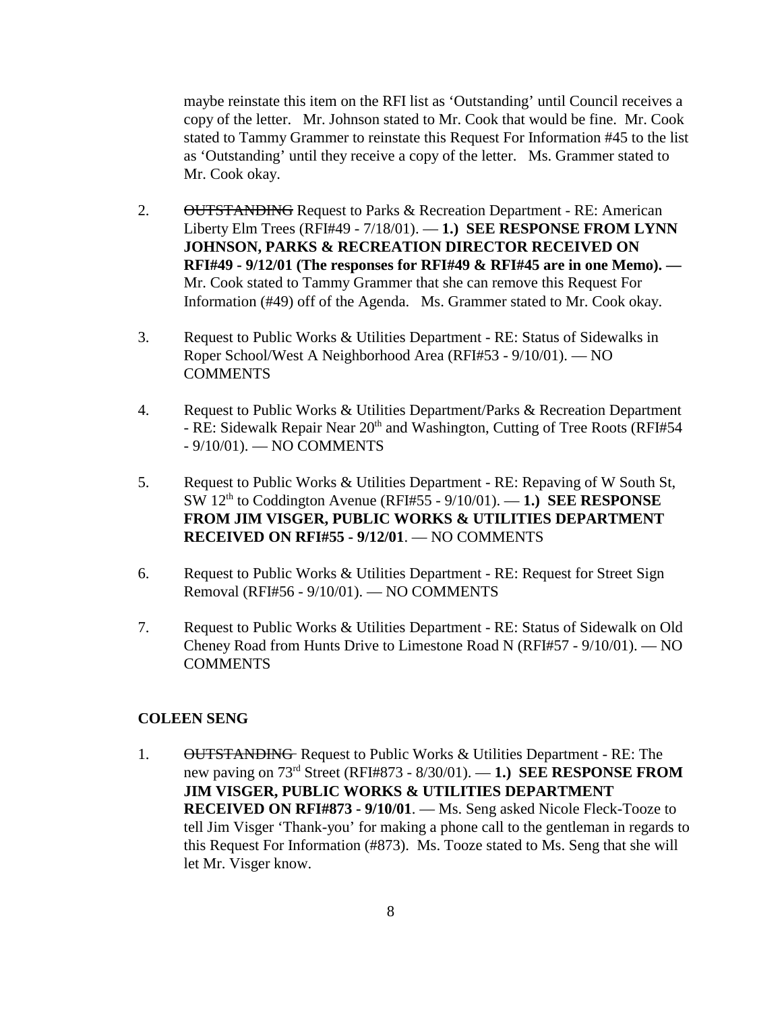maybe reinstate this item on the RFI list as 'Outstanding' until Council receives a copy of the letter. Mr. Johnson stated to Mr. Cook that would be fine. Mr. Cook stated to Tammy Grammer to reinstate this Request For Information #45 to the list as 'Outstanding' until they receive a copy of the letter. Ms. Grammer stated to Mr. Cook okay.

- 2. OUTSTANDING Request to Parks & Recreation Department RE: American Liberty Elm Trees (RFI#49 - 7/18/01). — **1.) SEE RESPONSE FROM LYNN JOHNSON, PARKS & RECREATION DIRECTOR RECEIVED ON RFI#49 - 9/12/01 (The responses for RFI#49 & RFI#45 are in one Memo). —** Mr. Cook stated to Tammy Grammer that she can remove this Request For Information (#49) off of the Agenda. Ms. Grammer stated to Mr. Cook okay.
- 3. Request to Public Works & Utilities Department RE: Status of Sidewalks in Roper School/West A Neighborhood Area (RFI#53 - 9/10/01). — NO **COMMENTS**
- 4. Request to Public Works & Utilities Department/Parks & Recreation Department - RE: Sidewalk Repair Near 20<sup>th</sup> and Washington, Cutting of Tree Roots (RFI#54) - 9/10/01). — NO COMMENTS
- 5. Request to Public Works & Utilities Department RE: Repaving of W South St, SW 12th to Coddington Avenue (RFI#55 - 9/10/01). — **1.) SEE RESPONSE FROM JIM VISGER, PUBLIC WORKS & UTILITIES DEPARTMENT RECEIVED ON RFI#55 - 9/12/01**. — NO COMMENTS
- 6. Request to Public Works & Utilities Department RE: Request for Street Sign Removal (RFI#56 - 9/10/01). — NO COMMENTS
- 7. Request to Public Works & Utilities Department RE: Status of Sidewalk on Old Cheney Road from Hunts Drive to Limestone Road N (RFI#57 - 9/10/01). — NO COMMENTS

#### **COLEEN SENG**

1. OUTSTANDING Request to Public Works & Utilities Department - RE: The new paving on 73rd Street (RFI#873 - 8/30/01). — **1.) SEE RESPONSE FROM JIM VISGER, PUBLIC WORKS & UTILITIES DEPARTMENT RECEIVED ON RFI#873 - 9/10/01**. — Ms. Seng asked Nicole Fleck-Tooze to tell Jim Visger 'Thank-you' for making a phone call to the gentleman in regards to this Request For Information (#873). Ms. Tooze stated to Ms. Seng that she will let Mr. Visger know.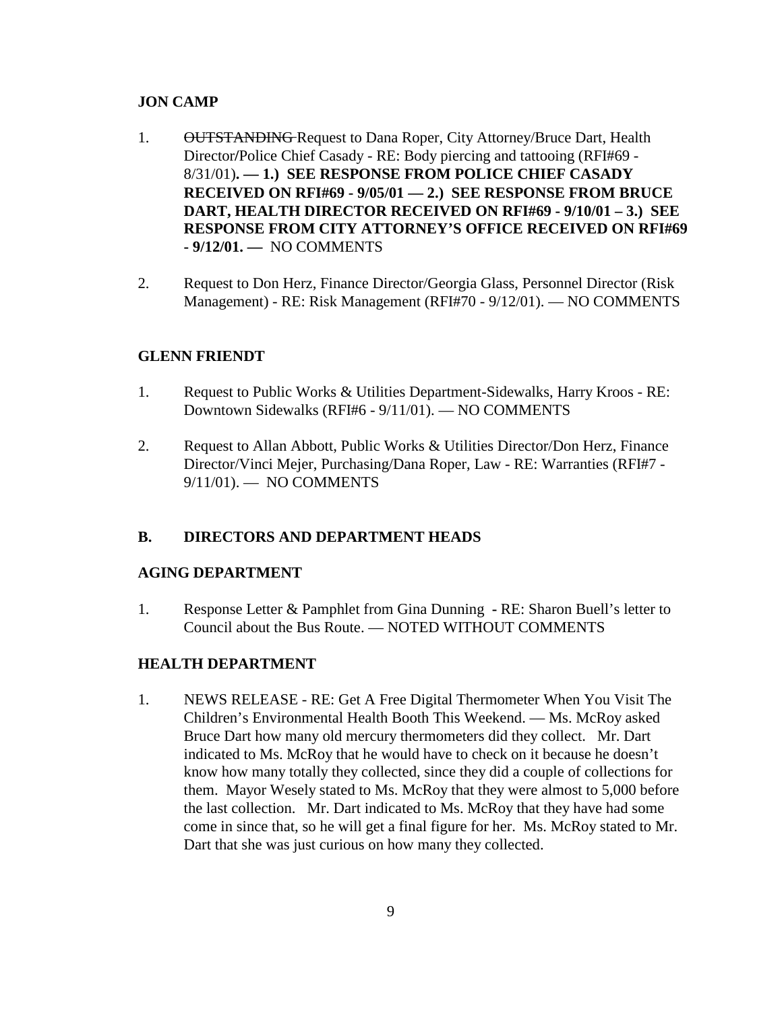#### **JON CAMP**

- 1. OUTSTANDING Request to Dana Roper, City Attorney/Bruce Dart, Health Director**/**Police Chief Casady - RE: Body piercing and tattooing (RFI#69 - 8/31/01)**. — 1.) SEE RESPONSE FROM POLICE CHIEF CASADY RECEIVED ON RFI#69 - 9/05/01 — 2.) SEE RESPONSE FROM BRUCE DART, HEALTH DIRECTOR RECEIVED ON RFI#69 - 9/10/01 – 3.) SEE RESPONSE FROM CITY ATTORNEY'S OFFICE RECEIVED ON RFI#69 - 9/12/01. —** NO COMMENTS
- 2. Request to Don Herz, Finance Director/Georgia Glass, Personnel Director (Risk Management) - RE: Risk Management (RFI#70 - 9/12/01). — NO COMMENTS

#### **GLENN FRIENDT**

- 1. Request to Public Works & Utilities Department-Sidewalks, Harry Kroos RE: Downtown Sidewalks (RFI#6 - 9/11/01). — NO COMMENTS
- 2. Request to Allan Abbott, Public Works & Utilities Director/Don Herz, Finance Director/Vinci Mejer, Purchasing/Dana Roper, Law - RE: Warranties (RFI#7 - 9/11/01). — NO COMMENTS

#### **B. DIRECTORS AND DEPARTMENT HEADS**

#### **AGING DEPARTMENT**

1. Response Letter & Pamphlet from Gina Dunning **-** RE: Sharon Buell's letter to Council about the Bus Route. — NOTED WITHOUT COMMENTS

#### **HEALTH DEPARTMENT**

1. NEWS RELEASE - RE: Get A Free Digital Thermometer When You Visit The Children's Environmental Health Booth This Weekend. — Ms. McRoy asked Bruce Dart how many old mercury thermometers did they collect. Mr. Dart indicated to Ms. McRoy that he would have to check on it because he doesn't know how many totally they collected, since they did a couple of collections for them. Mayor Wesely stated to Ms. McRoy that they were almost to 5,000 before the last collection. Mr. Dart indicated to Ms. McRoy that they have had some come in since that, so he will get a final figure for her. Ms. McRoy stated to Mr. Dart that she was just curious on how many they collected.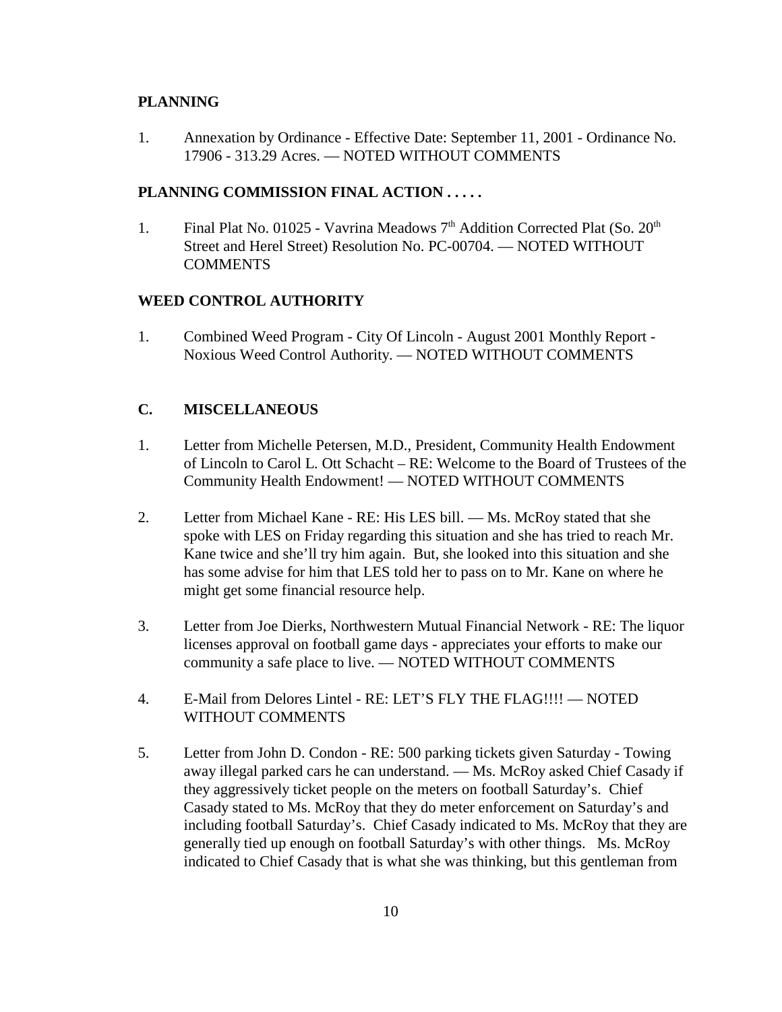#### **PLANNING**

1. Annexation by Ordinance - Effective Date: September 11, 2001 - Ordinance No. 17906 - 313.29 Acres. — NOTED WITHOUT COMMENTS

#### **PLANNING COMMISSION FINAL ACTION . . . . .**

1. Final Plat No. 01025 - Vavrina Meadows  $7<sup>th</sup>$  Addition Corrected Plat (So.  $20<sup>th</sup>$ Street and Herel Street) Resolution No. PC-00704. — NOTED WITHOUT **COMMENTS** 

#### **WEED CONTROL AUTHORITY**

1. Combined Weed Program - City Of Lincoln - August 2001 Monthly Report - Noxious Weed Control Authority. — NOTED WITHOUT COMMENTS

#### **C. MISCELLANEOUS**

- 1. Letter from Michelle Petersen, M.D., President, Community Health Endowment of Lincoln to Carol L. Ott Schacht – RE: Welcome to the Board of Trustees of the Community Health Endowment! — NOTED WITHOUT COMMENTS
- 2. Letter from Michael Kane RE: His LES bill. Ms. McRoy stated that she spoke with LES on Friday regarding this situation and she has tried to reach Mr. Kane twice and she'll try him again. But, she looked into this situation and she has some advise for him that LES told her to pass on to Mr. Kane on where he might get some financial resource help.
- 3. Letter from Joe Dierks, Northwestern Mutual Financial Network RE: The liquor licenses approval on football game days - appreciates your efforts to make our community a safe place to live. — NOTED WITHOUT COMMENTS
- 4. E-Mail from Delores Lintel RE: LET'S FLY THE FLAG!!!! NOTED WITHOUT COMMENTS
- 5. Letter from John D. Condon RE: 500 parking tickets given Saturday Towing away illegal parked cars he can understand. — Ms. McRoy asked Chief Casady if they aggressively ticket people on the meters on football Saturday's. Chief Casady stated to Ms. McRoy that they do meter enforcement on Saturday's and including football Saturday's. Chief Casady indicated to Ms. McRoy that they are generally tied up enough on football Saturday's with other things. Ms. McRoy indicated to Chief Casady that is what she was thinking, but this gentleman from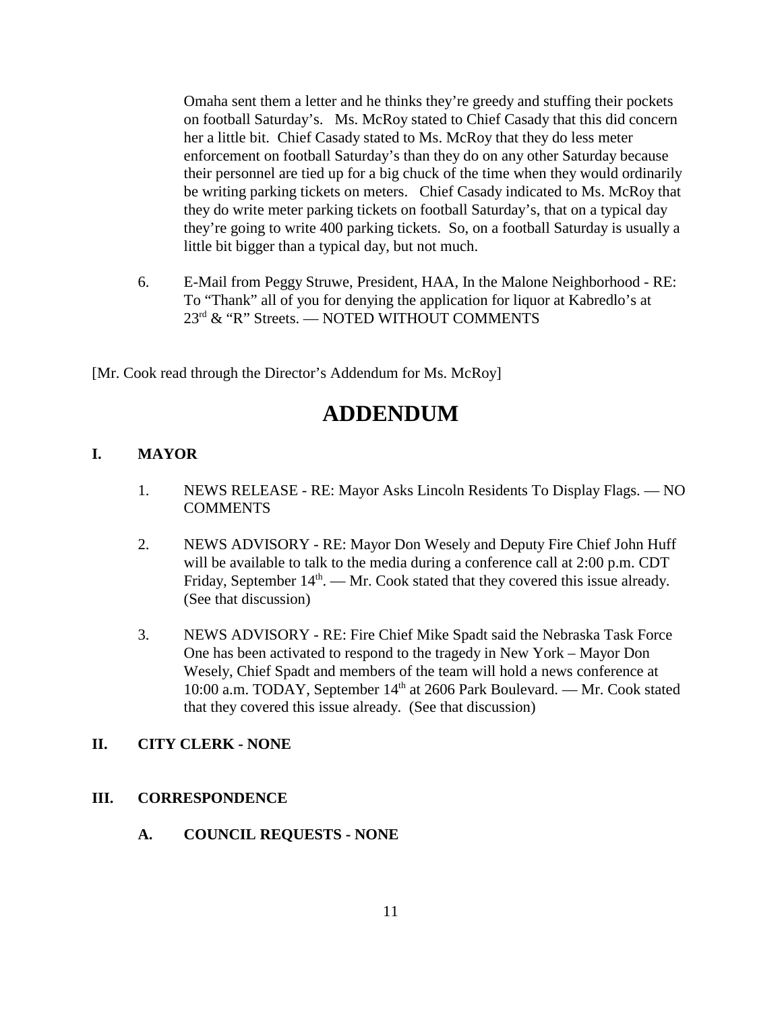Omaha sent them a letter and he thinks they're greedy and stuffing their pockets on football Saturday's. Ms. McRoy stated to Chief Casady that this did concern her a little bit. Chief Casady stated to Ms. McRoy that they do less meter enforcement on football Saturday's than they do on any other Saturday because their personnel are tied up for a big chuck of the time when they would ordinarily be writing parking tickets on meters. Chief Casady indicated to Ms. McRoy that they do write meter parking tickets on football Saturday's, that on a typical day they're going to write 400 parking tickets. So, on a football Saturday is usually a little bit bigger than a typical day, but not much.

6. E-Mail from Peggy Struwe, President, HAA, In the Malone Neighborhood - RE: To "Thank" all of you for denying the application for liquor at Kabredlo's at 23<sup>rd</sup> & "R" Streets. — NOTED WITHOUT COMMENTS

[Mr. Cook read through the Director's Addendum for Ms. McRoy]

# **ADDENDUM**

# **I. MAYOR**

- 1. NEWS RELEASE RE: Mayor Asks Lincoln Residents To Display Flags. NO COMMENTS
- 2. NEWS ADVISORY RE: Mayor Don Wesely and Deputy Fire Chief John Huff will be available to talk to the media during a conference call at 2:00 p.m. CDT Friday, September  $14<sup>th</sup>$ . — Mr. Cook stated that they covered this issue already. (See that discussion)
- 3. NEWS ADVISORY RE: Fire Chief Mike Spadt said the Nebraska Task Force One has been activated to respond to the tragedy in New York – Mayor Don Wesely, Chief Spadt and members of the team will hold a news conference at 10:00 a.m. TODAY, September 14<sup>th</sup> at 2606 Park Boulevard. — Mr. Cook stated that they covered this issue already. (See that discussion)

# **II. CITY CLERK - NONE**

# **III. CORRESPONDENCE**

**A. COUNCIL REQUESTS - NONE**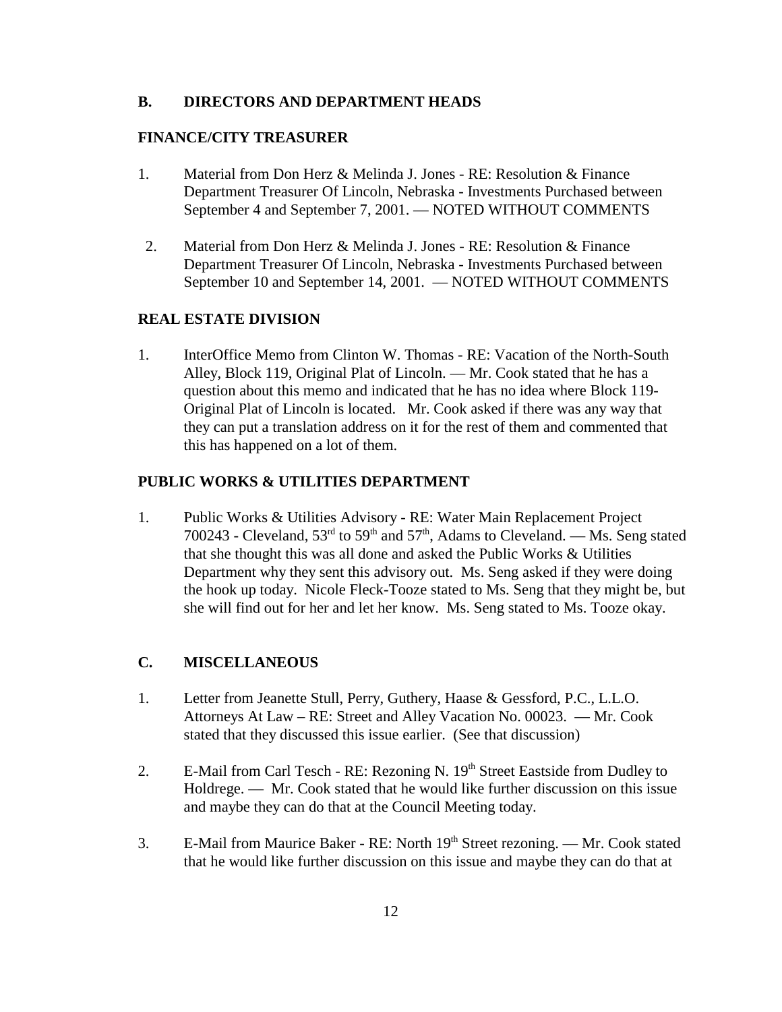#### **B. DIRECTORS AND DEPARTMENT HEADS**

#### **FINANCE/CITY TREASURER**

- 1. Material from Don Herz & Melinda J. Jones RE: Resolution & Finance Department Treasurer Of Lincoln, Nebraska - Investments Purchased between September 4 and September 7, 2001. — NOTED WITHOUT COMMENTS
- 2. Material from Don Herz & Melinda J. Jones RE: Resolution & Finance Department Treasurer Of Lincoln, Nebraska - Investments Purchased between September 10 and September 14, 2001. — NOTED WITHOUT COMMENTS

#### **REAL ESTATE DIVISION**

1. InterOffice Memo from Clinton W. Thomas - RE: Vacation of the North-South Alley, Block 119, Original Plat of Lincoln. — Mr. Cook stated that he has a question about this memo and indicated that he has no idea where Block 119- Original Plat of Lincoln is located. Mr. Cook asked if there was any way that they can put a translation address on it for the rest of them and commented that this has happened on a lot of them.

#### **PUBLIC WORKS & UTILITIES DEPARTMENT**

1. Public Works & Utilities Advisory - RE: Water Main Replacement Project 700243 - Cleveland,  $53<sup>rd</sup>$  to  $59<sup>th</sup>$  and  $57<sup>th</sup>$ , Adams to Cleveland. — Ms. Seng stated that she thought this was all done and asked the Public Works & Utilities Department why they sent this advisory out. Ms. Seng asked if they were doing the hook up today. Nicole Fleck-Tooze stated to Ms. Seng that they might be, but she will find out for her and let her know. Ms. Seng stated to Ms. Tooze okay.

### **C. MISCELLANEOUS**

- 1. Letter from Jeanette Stull, Perry, Guthery, Haase & Gessford, P.C., L.L.O. Attorneys At Law – RE: Street and Alley Vacation No. 00023. — Mr. Cook stated that they discussed this issue earlier. (See that discussion)
- 2. E-Mail from Carl Tesch RE: Rezoning N. 19<sup>th</sup> Street Eastside from Dudley to Holdrege. — Mr. Cook stated that he would like further discussion on this issue and maybe they can do that at the Council Meeting today.
- 3. E-Mail from Maurice Baker RE: North 19<sup>th</sup> Street rezoning. Mr. Cook stated that he would like further discussion on this issue and maybe they can do that at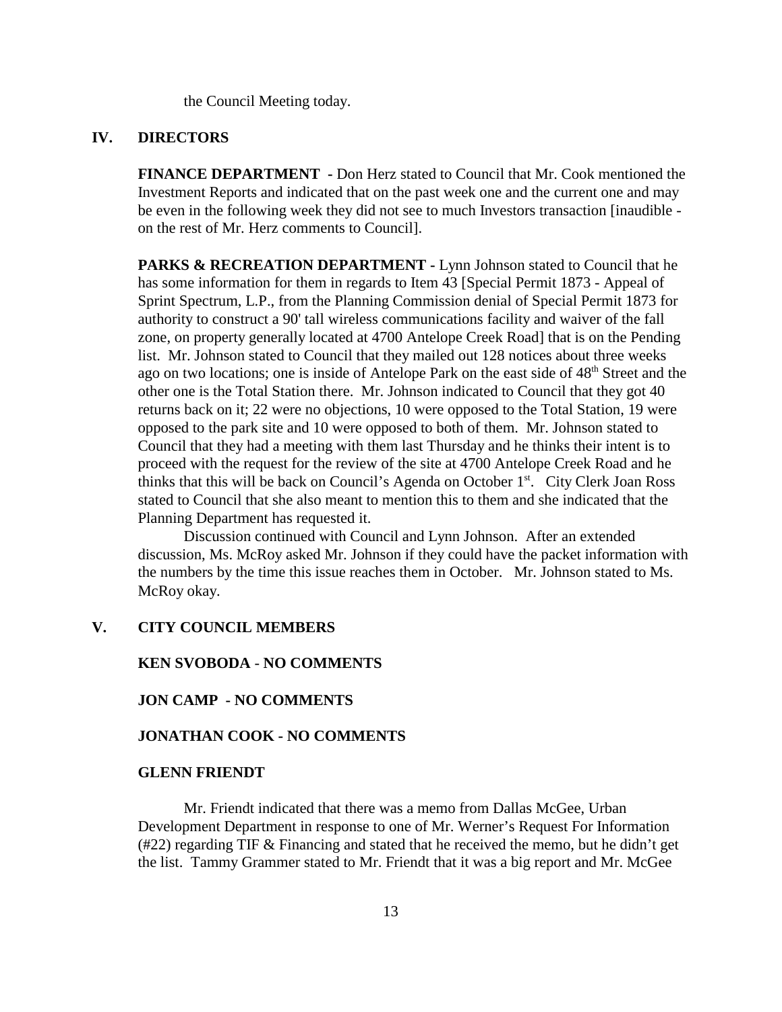the Council Meeting today.

#### **IV. DIRECTORS**

**FINANCE DEPARTMENT -** Don Herz stated to Council that Mr. Cook mentioned the Investment Reports and indicated that on the past week one and the current one and may be even in the following week they did not see to much Investors transaction [inaudible on the rest of Mr. Herz comments to Council].

**PARKS & RECREATION DEPARTMENT - Lynn Johnson stated to Council that he** has some information for them in regards to Item 43 [Special Permit 1873 - Appeal of Sprint Spectrum, L.P., from the Planning Commission denial of Special Permit 1873 for authority to construct a 90' tall wireless communications facility and waiver of the fall zone, on property generally located at 4700 Antelope Creek Road] that is on the Pending list. Mr. Johnson stated to Council that they mailed out 128 notices about three weeks ago on two locations; one is inside of Antelope Park on the east side of 48<sup>th</sup> Street and the other one is the Total Station there. Mr. Johnson indicated to Council that they got 40 returns back on it; 22 were no objections, 10 were opposed to the Total Station, 19 were opposed to the park site and 10 were opposed to both of them. Mr. Johnson stated to Council that they had a meeting with them last Thursday and he thinks their intent is to proceed with the request for the review of the site at 4700 Antelope Creek Road and he thinks that this will be back on Council's Agenda on October  $1<sup>st</sup>$ . City Clerk Joan Ross stated to Council that she also meant to mention this to them and she indicated that the Planning Department has requested it.

Discussion continued with Council and Lynn Johnson. After an extended discussion, Ms. McRoy asked Mr. Johnson if they could have the packet information with the numbers by the time this issue reaches them in October. Mr. Johnson stated to Ms. McRoy okay.

### **V. CITY COUNCIL MEMBERS**

#### **KEN SVOBODA** - **NO COMMENTS**

#### **JON CAMP - NO COMMENTS**

#### **JONATHAN COOK - NO COMMENTS**

#### **GLENN FRIENDT**

Mr. Friendt indicated that there was a memo from Dallas McGee, Urban Development Department in response to one of Mr. Werner's Request For Information (#22) regarding TIF & Financing and stated that he received the memo, but he didn't get the list. Tammy Grammer stated to Mr. Friendt that it was a big report and Mr. McGee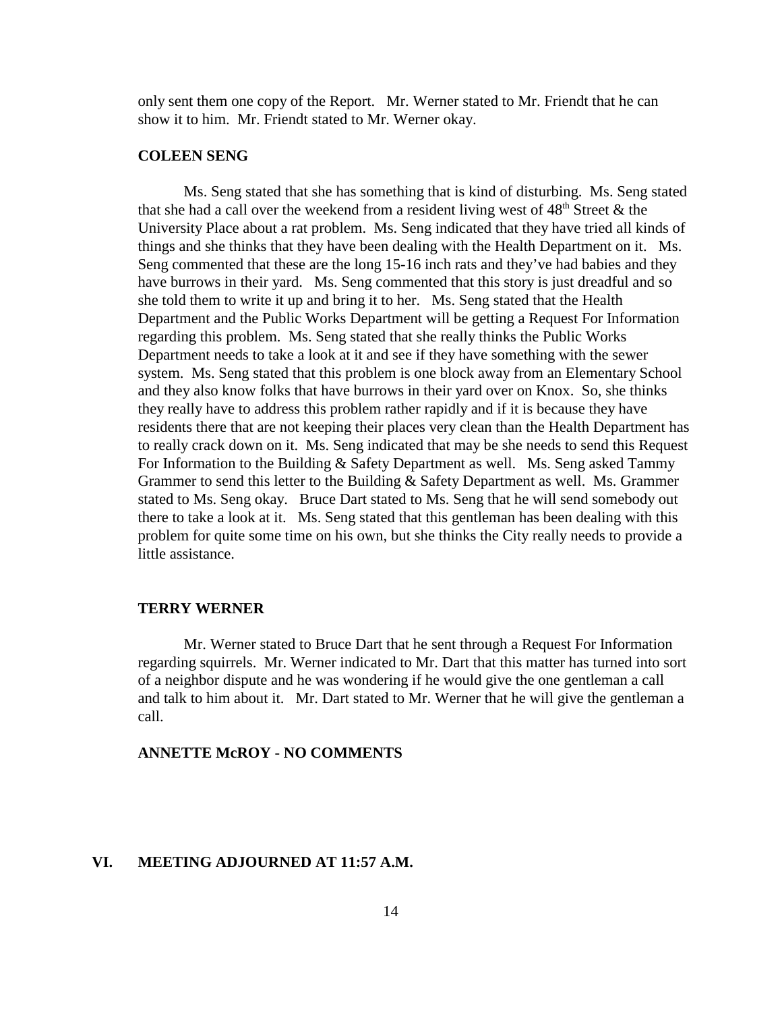only sent them one copy of the Report. Mr. Werner stated to Mr. Friendt that he can show it to him. Mr. Friendt stated to Mr. Werner okay.

#### **COLEEN SENG**

Ms. Seng stated that she has something that is kind of disturbing. Ms. Seng stated that she had a call over the weekend from a resident living west of  $48<sup>th</sup>$  Street & the University Place about a rat problem. Ms. Seng indicated that they have tried all kinds of things and she thinks that they have been dealing with the Health Department on it. Ms. Seng commented that these are the long 15-16 inch rats and they've had babies and they have burrows in their yard. Ms. Seng commented that this story is just dreadful and so she told them to write it up and bring it to her. Ms. Seng stated that the Health Department and the Public Works Department will be getting a Request For Information regarding this problem. Ms. Seng stated that she really thinks the Public Works Department needs to take a look at it and see if they have something with the sewer system. Ms. Seng stated that this problem is one block away from an Elementary School and they also know folks that have burrows in their yard over on Knox. So, she thinks they really have to address this problem rather rapidly and if it is because they have residents there that are not keeping their places very clean than the Health Department has to really crack down on it. Ms. Seng indicated that may be she needs to send this Request For Information to the Building & Safety Department as well. Ms. Seng asked Tammy Grammer to send this letter to the Building & Safety Department as well. Ms. Grammer stated to Ms. Seng okay. Bruce Dart stated to Ms. Seng that he will send somebody out there to take a look at it. Ms. Seng stated that this gentleman has been dealing with this problem for quite some time on his own, but she thinks the City really needs to provide a little assistance.

#### **TERRY WERNER**

Mr. Werner stated to Bruce Dart that he sent through a Request For Information regarding squirrels. Mr. Werner indicated to Mr. Dart that this matter has turned into sort of a neighbor dispute and he was wondering if he would give the one gentleman a call and talk to him about it. Mr. Dart stated to Mr. Werner that he will give the gentleman a call.

#### **ANNETTE McROY - NO COMMENTS**

#### **VI. MEETING ADJOURNED AT 11:57 A.M.**